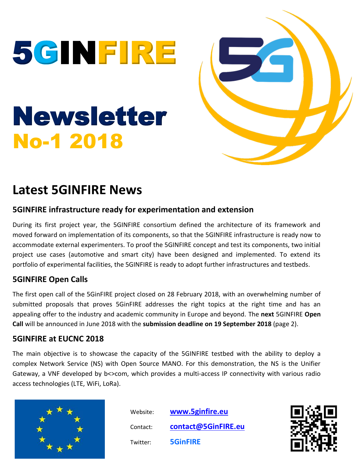



# **Latest 5GINFIRE News**

## **5GINFIRE infrastructure ready for experimentation and extension**

During its first project year, the 5GINFIRE consortium defined the architecture of its framework and moved forward on implementation of its components, so that the 5GINFIRE infrastructure is ready now to accommodate external experimenters. To proof the 5GINFIRE concept and test its components, two initial project use cases (automotive and smart city) have been designed and implemented. To extend its portfolio of experimental facilities, the 5GINFIRE is ready to adopt further infrastructures and testbeds.

## **5GINFIRE Open Calls**

The first open call of the 5GinFIRE project closed on 28 February 2018, with an overwhelming number of submitted proposals that proves 5GinFIRE addresses the right topics at the right time and has an appealing offer to the industry and academic community in Europe and beyond. The **next** 5GINFIRE **Open Call** will be announced in June 2018 with the **submission deadline on 19 September 2018** (page 2).

## **5GINFIRE at EUCNC 2018**

The main objective is to showcase the capacity of the 5GINFIRE testbed with the ability to deploy a complex Network Service (NS) with Open Source MANO. For this demonstration, the NS is the Unifier Gateway, a VNF developed by b<>com, which provides a multi-access IP connectivity with various radio access technologies (LTE, WiFi, LoRa).



 Website: **[www.5ginfire.eu](http://www.5ginfire.eu/)** Contact: **[contact@5GinFIRE.eu](mailto:contact@5GinFIRE.eu)** Twitter: **5GinFIRE**

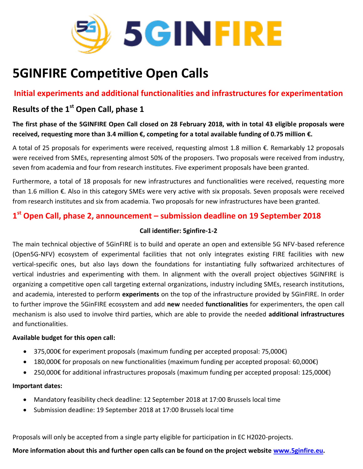

# **5GINFIRE Competitive Open Calls**

**Initial experiments and additional functionalities and infrastructures for experimentation**

# **Results of the 1st Open Call, phase 1**

**The first phase of the 5GINFIRE Open Call closed on 28 February 2018, with in total 43 eligible proposals were received, requesting more than 3.4 million €, competing for a total available funding of 0.75 million €.**

A total of 25 proposals for experiments were received, requesting almost 1.8 million €. Remarkably 12 proposals were received from SMEs, representing almost 50% of the proposers. Two proposals were received from industry, seven from academia and four from research institutes. Five experiment proposals have been granted.

Furthermore, a total of 18 proposals for new infrastructures and functionalities were received, requesting more than 1.6 million €. Also in this category SMEs were very active with six proposals. Seven proposals were received from research institutes and six from academia. Two proposals for new infrastructures have been granted.

# **1 st Open Call, phase 2, announcement – submission deadline on 19 September 2018**

#### **Call identifier: 5ginfire-1-2**

The main technical objective of 5GinFIRE is to build and operate an open and extensible 5G NFV-based reference (Open5G-NFV) ecosystem of experimental facilities that not only integrates existing FIRE facilities with new vertical-specific ones, but also lays down the foundations for instantiating fully softwarized architectures of vertical industries and experimenting with them. In alignment with the overall project objectives 5GINFIRE is organizing a competitive open call targeting external organizations, industry including SMEs, research institutions, and academia, interested to perform **experiments** on the top of the infrastructure provided by 5GinFIRE. In order to further improve the 5GinFIRE ecosystem and add **new** needed **functionalities** for experimenters, the open call mechanism is also used to involve third parties, which are able to provide the needed **additional infrastructures** and functionalities.

#### **Available budget for this open call:**

- 375,000€ for experiment proposals (maximum funding per accepted proposal: 75,000€)
- 180,000€ for proposals on new functionalities (maximum funding per accepted proposal: 60,000€)
- 250,000€ for additional infrastructures proposals (maximum funding per accepted proposal: 125,000€)

#### **Important dates:**

- Mandatory feasibility check deadline: 12 September 2018 at 17:00 Brussels local time
- Submission deadline: 19 September 2018 at 17:00 Brussels local time

Proposals will only be accepted from a single party eligible for participation in EC H2020-projects.

### **More information about this and further open calls can be found on the project website [www.5ginfire.eu.](http://www.5ginfire.eu/)**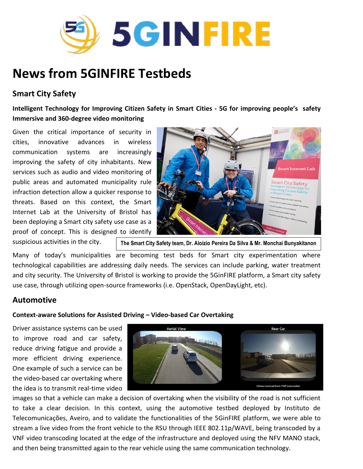

# **News from 5GINFIRE Testbeds**

## **Smart City Safety**

**Intelligent Technology for Improving Citizen Safety in Smart Cities - 5G for improving people's safety Immersive and 360-degree video monitoring**

Given the critical importance of security in cities, innovative advances in wireless communication systems are increasingly improving the safety of city inhabitants. New services such as audio and video monitoring of public areas and automated municipality rule infraction detection allow a quicker response to threats. Based on this context, the Smart Internet Lab at the University of Bristol has been deploying a Smart city safety use case as a proof of concept. This is designed to identify suspicious activities in the city.



**The Smart City Safety team, Dr. Aloizio Pereira Da Silva & Mr. Monchai Bunyakitanon**

Many of today's municipalities are becoming test beds for Smart city experimentation where technological capabilities are addressing daily needs. The services can include parking, water treatment and city security. The University of Bristol is working to provide the 5GinFIRE platform, a Smart city safety use case, through utilizing open-source frameworks (i.e. OpenStack, OpenDayLight, etc).

## **Automotive**

#### **Context-aware Solutions for Assisted Driving – Video-based Car Overtaking**

Driver assistance systems can be used to improve road and car safety, reduce driving fatigue and provide a more efficient driving experience. One example of such a service can be the video-based car overtaking where the idea is to transmit real-time video



images so that a vehicle can make a decision of overtaking when the visibility of the road is not sufficient to take a clear decision. In this context, using the automotive testbed deployed by Instituto de Telecomunicações, Aveiro, and to validate the functionalities of the 5GinFIRE platform, we were able to stream a live video from the front vehicle to the RSU through IEEE 802.11p/WAVE, being transcoded by a VNF video transcoding located at the edge of the infrastructure and deployed using the NFV MANO stack, and then being transmitted again to the rear vehicle using the same communication technology.